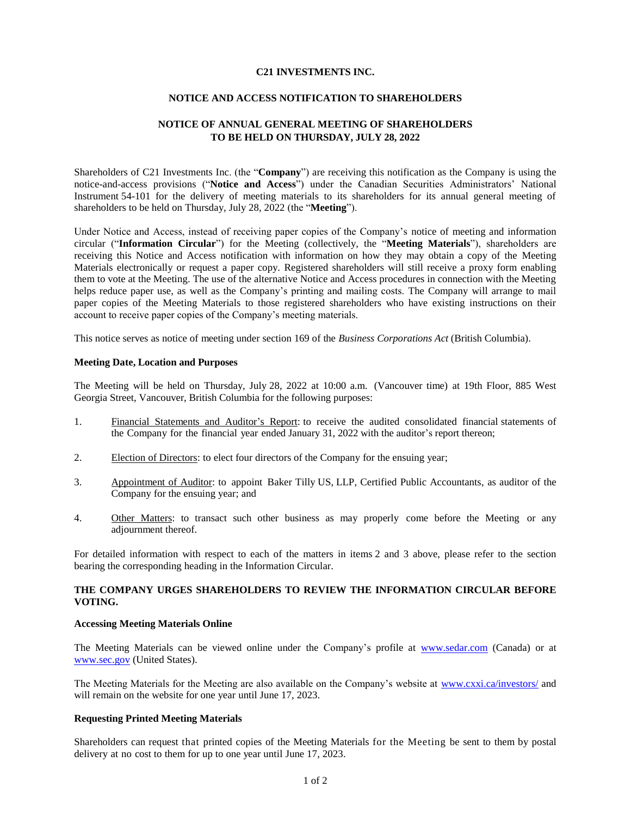### **C21 INVESTMENTS INC.**

## **NOTICE AND ACCESS NOTIFICATION TO SHAREHOLDERS**

# **NOTICE OF ANNUAL GENERAL MEETING OF SHAREHOLDERS TO BE HELD ON THURSDAY, JULY 28, 2022**

Shareholders of C21 Investments Inc. (the "**Company**") are receiving this notification as the Company is using the notice-and-access provisions ("**Notice and Access**") under the Canadian Securities Administrators' National Instrument 54-101 for the delivery of meeting materials to its shareholders for its annual general meeting of shareholders to be held on Thursday, July 28, 2022 (the "**Meeting**").

Under Notice and Access, instead of receiving paper copies of the Company's notice of meeting and information circular ("**Information Circular**") for the Meeting (collectively, the "**Meeting Materials**"), shareholders are receiving this Notice and Access notification with information on how they may obtain a copy of the Meeting Materials electronically or request a paper copy. Registered shareholders will still receive a proxy form enabling them to vote at the Meeting. The use of the alternative Notice and Access procedures in connection with the Meeting helps reduce paper use, as well as the Company's printing and mailing costs. The Company will arrange to mail paper copies of the Meeting Materials to those registered shareholders who have existing instructions on their account to receive paper copies of the Company's meeting materials.

This notice serves as notice of meeting under section 169 of the *Business Corporations Act* (British Columbia).

### **Meeting Date, Location and Purposes**

The Meeting will be held on Thursday, July 28, 2022 at 10:00 a.m. (Vancouver time) at 19th Floor, 885 West Georgia Street, Vancouver, British Columbia for the following purposes:

- 1. Financial Statements and Auditor's Report: to receive the audited consolidated financial statements of the Company for the financial year ended January 31, 2022 with the auditor's report thereon;
- 2. Election of Directors: to elect four directors of the Company for the ensuing year;
- 3. Appointment of Auditor: to appoint Baker Tilly US, LLP, Certified Public Accountants, as auditor of the Company for the ensuing year; and
- 4. Other Matters: to transact such other business as may properly come before the Meeting or any adjournment thereof.

For detailed information with respect to each of the matters in items 2 and 3 above, please refer to the section bearing the corresponding heading in the Information Circular.

## **THE COMPANY URGES SHAREHOLDERS TO REVIEW THE INFORMATION CIRCULAR BEFORE VOTING.**

## **Accessing Meeting Materials Online**

The Meeting Materials can be viewed online under the Company's profile at [www.sedar.com](http://www.sedar.com/) (Canada) or at [www.sec.gov](http://www.sec.gov/) (United States).

The Meeting Materials for the Meeting are also available on the Company's website at [www.cxxi.ca/investors/](http://www.cxxi.ca/investors/) and will remain on the website for one year until June 17, 2023.

#### **Requesting Printed Meeting Materials**

Shareholders can request that printed copies of the Meeting Materials for the Meeting be sent to them by postal delivery at no cost to them for up to one year until June 17, 2023.